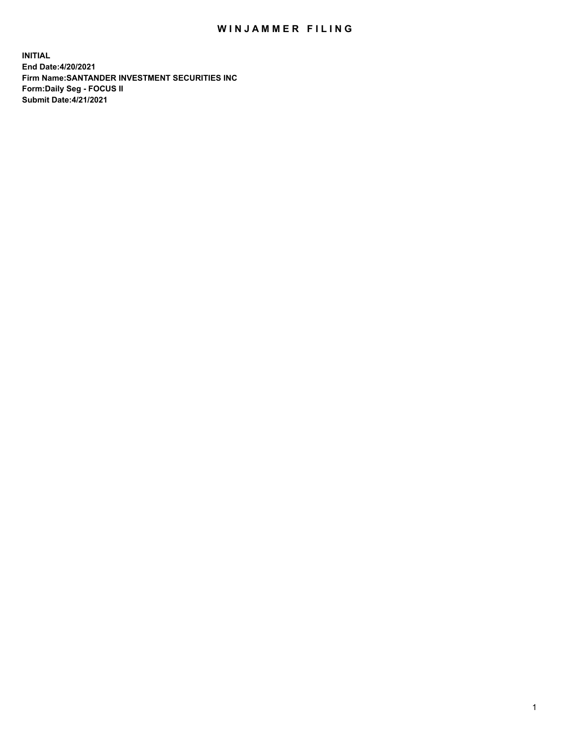## WIN JAMMER FILING

**INITIAL End Date:4/20/2021 Firm Name:SANTANDER INVESTMENT SECURITIES INC Form:Daily Seg - FOCUS II Submit Date:4/21/2021**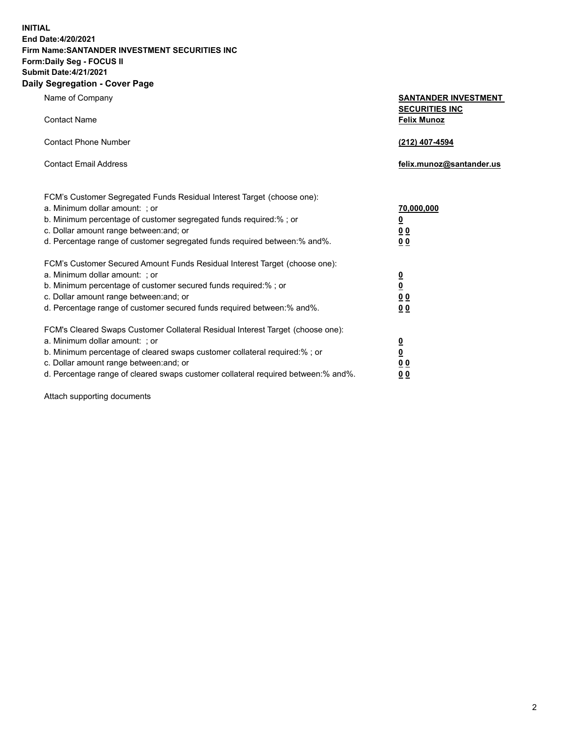**INITIAL End Date:4/20/2021 Firm Name:SANTANDER INVESTMENT SECURITIES INC Form:Daily Seg - FOCUS II Submit Date:4/21/2021 Daily Segregation - Cover Page**

| Name of Company                                                                   | <b>SANTANDER INVESTMENT</b><br><b>SECURITIES INC</b> |
|-----------------------------------------------------------------------------------|------------------------------------------------------|
| <b>Contact Name</b>                                                               | <b>Felix Munoz</b>                                   |
| <b>Contact Phone Number</b>                                                       | (212) 407-4594                                       |
| <b>Contact Email Address</b>                                                      | felix.munoz@santander.us                             |
| FCM's Customer Segregated Funds Residual Interest Target (choose one):            |                                                      |
| a. Minimum dollar amount: ; or                                                    | 70,000,000                                           |
| b. Minimum percentage of customer segregated funds required:%; or                 | <u>0</u>                                             |
| c. Dollar amount range between: and; or                                           | 0 <sub>0</sub>                                       |
| d. Percentage range of customer segregated funds required between:% and%.         | 0 <sub>0</sub>                                       |
| FCM's Customer Secured Amount Funds Residual Interest Target (choose one):        |                                                      |
| a. Minimum dollar amount: ; or                                                    | $\frac{0}{0}$                                        |
| b. Minimum percentage of customer secured funds required:%; or                    |                                                      |
| c. Dollar amount range between: and; or                                           | 0 <sub>0</sub>                                       |
| d. Percentage range of customer secured funds required between:% and%.            | 0 <sub>0</sub>                                       |
| FCM's Cleared Swaps Customer Collateral Residual Interest Target (choose one):    |                                                      |
| a. Minimum dollar amount: ; or                                                    | $\overline{\mathbf{0}}$                              |
| b. Minimum percentage of cleared swaps customer collateral required:% ; or        | $\underline{\mathbf{0}}$                             |
| c. Dollar amount range between: and; or                                           | 0 <sub>0</sub>                                       |
| d. Percentage range of cleared swaps customer collateral required between:% and%. | <u>00</u>                                            |

Attach supporting documents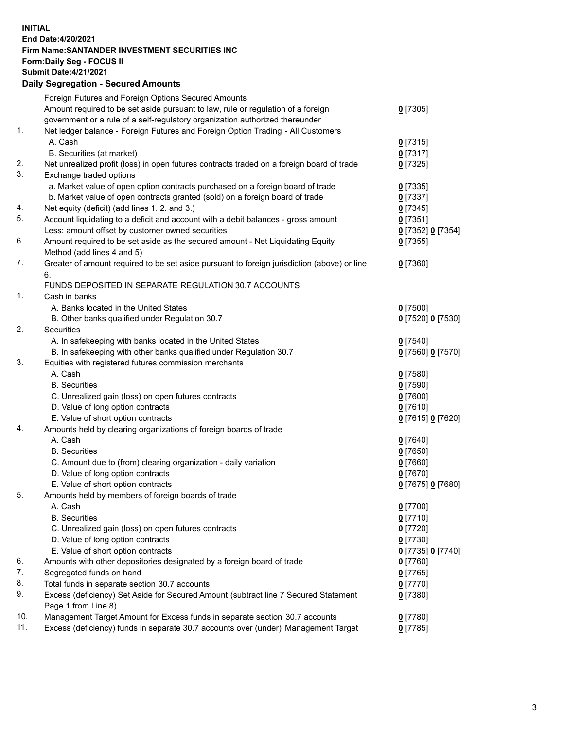## **INITIAL End Date:4/20/2021 Firm Name:SANTANDER INVESTMENT SECURITIES INC Form:Daily Seg - FOCUS II Submit Date:4/21/2021 Daily Segregation - Secured Amounts**

|            | Foreign Futures and Foreign Options Secured Amounts                                         |                   |
|------------|---------------------------------------------------------------------------------------------|-------------------|
|            | Amount required to be set aside pursuant to law, rule or regulation of a foreign            | $0$ [7305]        |
|            | government or a rule of a self-regulatory organization authorized thereunder                |                   |
| 1.         | Net ledger balance - Foreign Futures and Foreign Option Trading - All Customers             |                   |
|            | A. Cash                                                                                     | $0$ [7315]        |
|            | B. Securities (at market)                                                                   | $0$ [7317]        |
| 2.         | Net unrealized profit (loss) in open futures contracts traded on a foreign board of trade   | $0$ [7325]        |
| 3.         | Exchange traded options                                                                     |                   |
|            | a. Market value of open option contracts purchased on a foreign board of trade              | $0$ [7335]        |
|            | b. Market value of open contracts granted (sold) on a foreign board of trade                | $0$ [7337]        |
| 4.         | Net equity (deficit) (add lines 1. 2. and 3.)                                               | $0$ [7345]        |
| 5.         | Account liquidating to a deficit and account with a debit balances - gross amount           | $0$ [7351]        |
|            | Less: amount offset by customer owned securities                                            | 0 [7352] 0 [7354] |
| 6.         | Amount required to be set aside as the secured amount - Net Liquidating Equity              | $0$ [7355]        |
|            | Method (add lines 4 and 5)                                                                  |                   |
| 7.         | Greater of amount required to be set aside pursuant to foreign jurisdiction (above) or line | $0$ [7360]        |
|            | 6.                                                                                          |                   |
|            | FUNDS DEPOSITED IN SEPARATE REGULATION 30.7 ACCOUNTS                                        |                   |
| 1.         | Cash in banks                                                                               |                   |
|            | A. Banks located in the United States                                                       | $0$ [7500]        |
|            | B. Other banks qualified under Regulation 30.7                                              | 0 [7520] 0 [7530] |
| 2.         | <b>Securities</b>                                                                           |                   |
|            | A. In safekeeping with banks located in the United States                                   | $0$ [7540]        |
|            | B. In safekeeping with other banks qualified under Regulation 30.7                          | 0 [7560] 0 [7570] |
| 3.         | Equities with registered futures commission merchants                                       |                   |
|            | A. Cash                                                                                     | $0$ [7580]        |
|            | <b>B.</b> Securities                                                                        | $0$ [7590]        |
|            | C. Unrealized gain (loss) on open futures contracts                                         | $0$ [7600]        |
|            | D. Value of long option contracts                                                           | $0$ [7610]        |
|            | E. Value of short option contracts                                                          | 0 [7615] 0 [7620] |
| 4.         | Amounts held by clearing organizations of foreign boards of trade                           |                   |
|            | A. Cash                                                                                     | $0$ [7640]        |
|            | <b>B.</b> Securities                                                                        | $0$ [7650]        |
|            | C. Amount due to (from) clearing organization - daily variation                             | $0$ [7660]        |
|            | D. Value of long option contracts                                                           | $0$ [7670]        |
|            | E. Value of short option contracts                                                          | 0 [7675] 0 [7680] |
| 5.         | Amounts held by members of foreign boards of trade                                          |                   |
|            | A. Cash                                                                                     | $0$ [7700]        |
|            | <b>B.</b> Securities                                                                        | $0$ [7710]        |
|            | C. Unrealized gain (loss) on open futures contracts                                         | $0$ [7720]        |
|            | D. Value of long option contracts                                                           | $0$ [7730]        |
|            | E. Value of short option contracts                                                          | 0 [7735] 0 [7740] |
| 6.         | Amounts with other depositories designated by a foreign board of trade                      | $0$ [7760]        |
| 7.         | Segregated funds on hand                                                                    | $0$ [7765]        |
| 8.         | Total funds in separate section 30.7 accounts                                               | $0$ [7770]        |
| 9.         | Excess (deficiency) Set Aside for Secured Amount (subtract line 7 Secured Statement         | $0$ [7380]        |
|            | Page 1 from Line 8)                                                                         |                   |
| 10.<br>11. | Management Target Amount for Excess funds in separate section 30.7 accounts                 | $0$ [7780]        |
|            | Excess (deficiency) funds in separate 30.7 accounts over (under) Management Target          | $0$ [7785]        |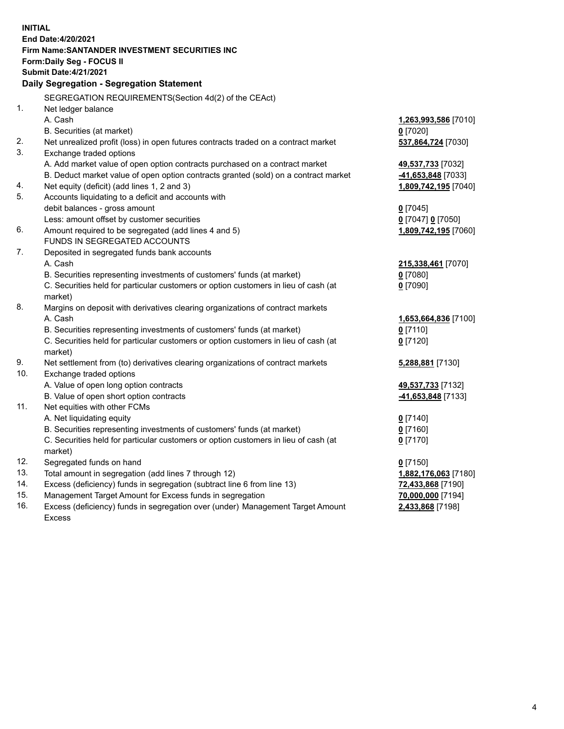| <b>INITIAL</b> |                                                                                     |                      |
|----------------|-------------------------------------------------------------------------------------|----------------------|
|                | End Date: 4/20/2021                                                                 |                      |
|                | Firm Name: SANTANDER INVESTMENT SECURITIES INC                                      |                      |
|                | Form: Daily Seg - FOCUS II                                                          |                      |
|                | <b>Submit Date:4/21/2021</b>                                                        |                      |
|                | Daily Segregation - Segregation Statement                                           |                      |
|                | SEGREGATION REQUIREMENTS(Section 4d(2) of the CEAct)                                |                      |
| 1.             | Net ledger balance                                                                  |                      |
|                | A. Cash                                                                             | 1,263,993,586 [7010] |
|                | B. Securities (at market)                                                           | $0$ [7020]           |
| 2.             | Net unrealized profit (loss) in open futures contracts traded on a contract market  | 537,864,724 [7030]   |
| 3.             | Exchange traded options                                                             |                      |
|                | A. Add market value of open option contracts purchased on a contract market         | 49,537,733 [7032]    |
|                | B. Deduct market value of open option contracts granted (sold) on a contract market | 41,653,848 [7033]    |
| 4.             | Net equity (deficit) (add lines 1, 2 and 3)                                         | 1,809,742,195 [7040] |
| 5.             | Accounts liquidating to a deficit and accounts with                                 |                      |
|                | debit balances - gross amount                                                       | $0$ [7045]           |
|                | Less: amount offset by customer securities                                          | 0 [7047] 0 [7050]    |
| 6.             | Amount required to be segregated (add lines 4 and 5)                                | 1,809,742,195 [7060] |
|                | FUNDS IN SEGREGATED ACCOUNTS                                                        |                      |
| 7.             | Deposited in segregated funds bank accounts                                         |                      |
|                | A. Cash                                                                             | 215,338,461 [7070]   |
|                | B. Securities representing investments of customers' funds (at market)              | $0$ [7080]           |
|                | C. Securities held for particular customers or option customers in lieu of cash (at | $0$ [7090]           |
|                | market)                                                                             |                      |
| 8.             | Margins on deposit with derivatives clearing organizations of contract markets      |                      |
|                | A. Cash                                                                             | 1,653,664,836 [7100] |
|                | B. Securities representing investments of customers' funds (at market)              | $0$ [7110]           |
|                | C. Securities held for particular customers or option customers in lieu of cash (at | $0$ [7120]           |
|                | market)                                                                             |                      |
| 9.             | Net settlement from (to) derivatives clearing organizations of contract markets     | 5,288,881 [7130]     |
| 10.            | Exchange traded options                                                             |                      |
|                | A. Value of open long option contracts                                              | 49,537,733 [7132]    |
|                | B. Value of open short option contracts                                             | -41,653,848 [7133]   |
| 11.            | Net equities with other FCMs                                                        |                      |
|                | A. Net liquidating equity                                                           | $0$ [7140]           |
|                | B. Securities representing investments of customers' funds (at market)              | $0$ [7160]           |
|                | C. Securities held for particular customers or option customers in lieu of cash (at | $0$ [7170]           |
|                | market)                                                                             |                      |
| 12.            | Segregated funds on hand                                                            | $0$ [7150]           |
| 13.            | Total amount in segregation (add lines 7 through 12)                                | 1,882,176,063 [7180] |
| 14.            | Excess (deficiency) funds in segregation (subtract line 6 from line 13)             | 72,433,868 [7190]    |
| 15.            | Management Target Amount for Excess funds in segregation                            | 70,000,000 [7194]    |
| 16.            | Excess (deficiency) funds in segregation over (under) Management Target Amount      | 2,433,868 [7198]     |
|                | <b>Excess</b>                                                                       |                      |